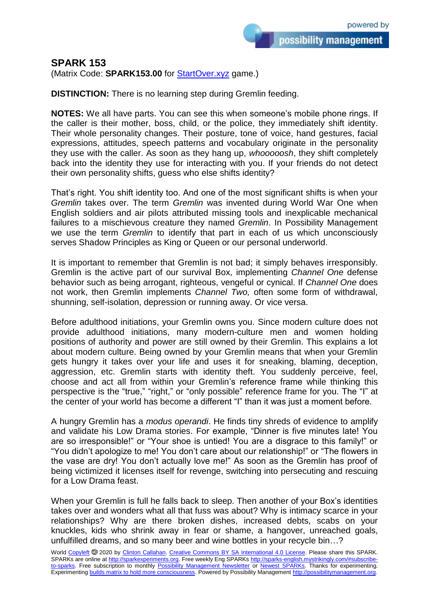## **SPARK 153**

(Matrix Code: **SPARK153.00** for **StartOver.xyz** game.)

**DISTINCTION:** There is no learning step during Gremlin feeding.

**NOTES:** We all have parts. You can see this when someone's mobile phone rings. If the caller is their mother, boss, child, or the police, they immediately shift identity. Their whole personality changes. Their posture, tone of voice, hand gestures, facial expressions, attitudes, speech patterns and vocabulary originate in the personality they use with the caller. As soon as they hang up, *whooooosh*, they shift completely back into the identity they use for interacting with you. If your friends do not detect their own personality shifts, guess who else shifts identity?

That's right. You shift identity too. And one of the most significant shifts is when your *Gremlin* takes over. The term *Gremlin* was invented during World War One when English soldiers and air pilots attributed missing tools and inexplicable mechanical failures to a mischievous creature they named *Gremlin*. In Possibility Management we use the term *Gremlin* to identify that part in each of us which unconsciously serves Shadow Principles as King or Queen or our personal underworld.

It is important to remember that Gremlin is not bad; it simply behaves irresponsibly. Gremlin is the active part of our survival Box, implementing *Channel One* defense behavior such as being arrogant, righteous, vengeful or cynical. If *Channel One* does not work, then Gremlin implements *Channel Two,* often some form of withdrawal, shunning, self-isolation, depression or running away. Or vice versa.

Before adulthood initiations, your Gremlin owns you. Since modern culture does not provide adulthood initiations, many modern-culture men and women holding positions of authority and power are still owned by their Gremlin. This explains a lot about modern culture. Being owned by your Gremlin means that when your Gremlin gets hungry it takes over your life and uses it for sneaking, blaming, deception, aggression, etc. Gremlin starts with identity theft. You suddenly perceive, feel, choose and act all from within your Gremlin's reference frame while thinking this perspective is the "true," "right," or "only possible" reference frame for you. The "I" at the center of your world has become a different "I" than it was just a moment before.

A hungry Gremlin has a *modus operandi*. He finds tiny shreds of evidence to amplify and validate his Low Drama stories. For example, "Dinner is five minutes late! You are so irresponsible!" or "Your shoe is untied! You are a disgrace to this family!" or "You didn't apologize to me! You don't care about our relationship!" or "The flowers in the vase are dry! You don't actually love me!" As soon as the Gremlin has proof of being victimized it licenses itself for revenge, switching into persecuting and rescuing for a Low Drama feast.

When your Gremlin is full he falls back to sleep. Then another of your Box's identities takes over and wonders what all that fuss was about? Why is intimacy scarce in your relationships? Why are there broken dishes, increased debts, scabs on your knuckles, kids who shrink away in fear or shame, a hangover, unreached goals, unfulfilled dreams, and so many beer and wine bottles in your recycle bin…?